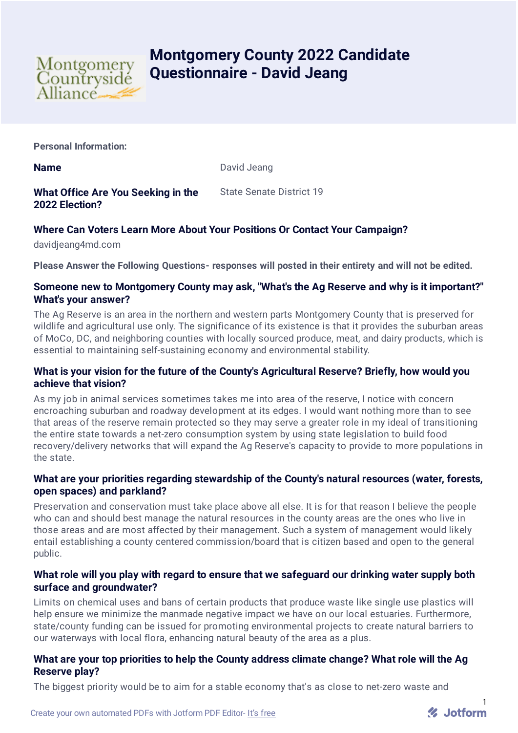

# **Montgomery County 2022 Candidate Questionnaire - David Jeang**

**Personal Information:**

**Name** David Jeang

**What Office Are You Seeking in the 2022 Election?** State Senate District 19

# **Where Can Voters Learn More About Your Positions Or Contact Your Campaign?**

davidjeang4md.com

**Please Answer the Following Questions- responses will posted in their entirety and will not be edited.**

#### **Someone new to Montgomery County may ask, "What's the Ag Reserve and why is it important?" What's your answer?**

The Ag Reserve is an area in the northern and western parts Montgomery County that is preserved for wildlife and agricultural use only. The significance of its existence is that it provides the suburban areas of MoCo, DC, and neighboring counties with locally sourced produce, meat, and dairy products, which is essential to maintaining self-sustaining economy and environmental stability.

# **What is your vision for the future of the County's Agricultural Reserve? Briefly, how would you achieve that vision?**

As my job in animal services sometimes takes me into area of the reserve, I notice with concern encroaching suburban and roadway development at its edges. I would want nothing more than to see that areas of the reserve remain protected so they may serve a greater role in my ideal of transitioning the entire state towards a net-zero consumption system by using state legislation to build food recovery/delivery networks that will expand the Ag Reserve's capacity to provide to more populations in the state.

# **What are your priorities regarding stewardship of the County's natural resources (water, forests, open spaces) and parkland?**

Preservation and conservation must take place above all else. It is for that reason I believe the people who can and should best manage the natural resources in the county areas are the ones who live in those areas and are most affected by their management. Such a system of management would likely entail establishing a county centered commission/board that is citizen based and open to the general public.

# **What role will you play with regard to ensure that we safeguard our drinking water supply both surface and groundwater?**

Limits on chemical uses and bans of certain products that produce waste like single use plastics will help ensure we minimize the manmade negative impact we have on our local estuaries. Furthermore, state/county funding can be issued for promoting environmental projects to create natural barriers to our waterways with local flora, enhancing natural beauty of the area as a plus.

# **What are your top priorities to help the County address climate change? What role will the Ag Reserve play?**

The biggest priority would be to aim for a stable economy that's as close to net-zero waste and

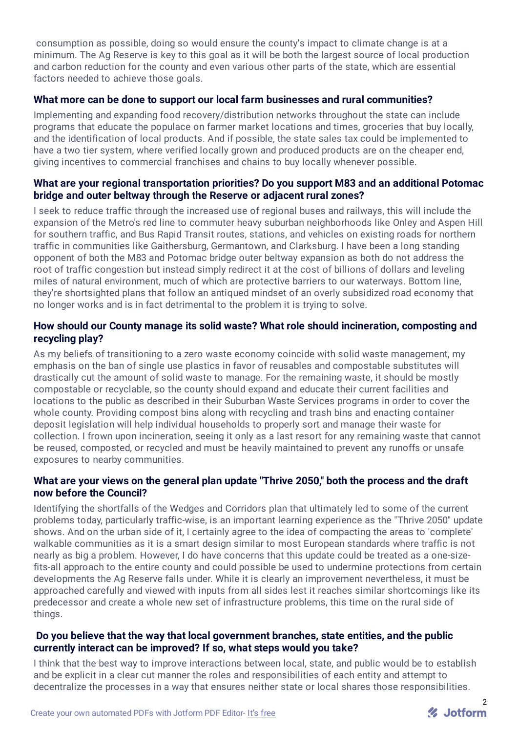consumption as possible, doing so would ensure the county's impact to climate change is at a minimum. The Ag Reserve is key to this goal as it will be both the largest source of local production and carbon reduction for the county and even various other parts of the state, which are essential factors needed to achieve those goals.

# **What more can be done to support our local farm businesses and rural communities?**

Implementing and expanding food recovery/distribution networks throughout the state can include programs that educate the populace on farmer market locations and times, groceries that buy locally, and the identification of local products. And if possible, the state sales tax could be implemented to have a two tier system, where verified locally grown and produced products are on the cheaper end, giving incentives to commercial franchises and chains to buy locally whenever possible.

#### **What are your regional transportation priorities? Do you support M83 and an additional Potomac bridge and outer beltway through the Reserve or adjacent rural zones?**

I seek to reduce traffic through the increased use of regional buses and railways, this will include the expansion of the Metro's red line to commuter heavy suburban neighborhoods like Onley and Aspen Hill for southern traffic, and Bus Rapid Transit routes, stations, and vehicles on existing roads for northern traffic in communities like Gaithersburg, Germantown, and Clarksburg. I have been a long standing opponent of both the M83 and Potomac bridge outer beltway expansion as both do not address the root of traffic congestion but instead simply redirect it at the cost of billions of dollars and leveling miles of natural environment, much of which are protective barriers to our waterways. Bottom line, they're shortsighted plans that follow an antiqued mindset of an overly subsidized road economy that no longer works and is in fact detrimental to the problem it is trying to solve.

#### **How should our County manage its solid waste? What role should incineration, composting and recycling play?**

As my beliefs of transitioning to a zero waste economy coincide with solid waste management, my emphasis on the ban of single use plastics in favor of reusables and compostable substitutes will drastically cut the amount of solid waste to manage. For the remaining waste, it should be mostly compostable or recyclable, so the county should expand and educate their current facilities and locations to the public as described in their Suburban Waste Services programs in order to cover the whole county. Providing compost bins along with recycling and trash bins and enacting container deposit legislation will help individual households to properly sort and manage their waste for collection. I frown upon incineration, seeing it only as a last resort for any remaining waste that cannot be reused, composted, or recycled and must be heavily maintained to prevent any runoffs or unsafe exposures to nearby communities.

# **What are your views on the general plan update "Thrive 2050," both the process and the draft now before the Council?**

Identifying the shortfalls of the Wedges and Corridors plan that ultimately led to some of the current problems today, particularly traffic-wise, is an important learning experience as the "Thrive 2050" update shows. And on the urban side of it, I certainly agree to the idea of compacting the areas to 'complete' walkable communities as it is a smart design similar to most European standards where traffic is not nearly as big a problem. However, I do have concerns that this update could be treated as a one-sizefits-all approach to the entire county and could possible be used to undermine protections from certain developments the Ag Reserve falls under. While it is clearly an improvement nevertheless, it must be approached carefully and viewed with inputs from all sides lest it reaches similar shortcomings like its predecessor and create a whole new set of infrastructure problems, this time on the rural side of things.

#### **Do you believe that the way that local government branches, state entities, and the public currently interact can be improved? If so, what steps would you take?**

I think that the best way to improve interactions between local, state, and public would be to establish and be explicit in a clear cut manner the roles and responsibilities of each entity and attempt to decentralize the processes in a way that ensures neither state or local shares those responsibilities.